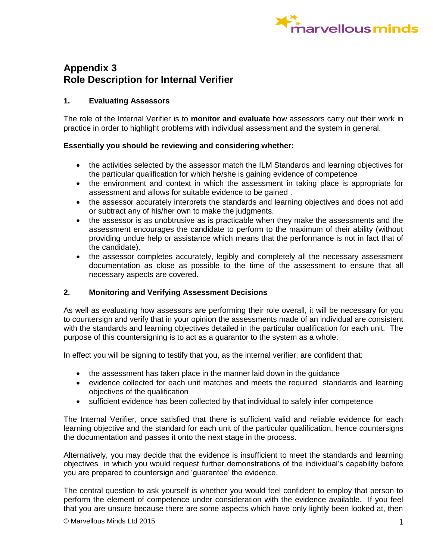

# **Appendix 3 Role Description for Internal Verifier**

### **1. Evaluating Assessors**

The role of the Internal Verifier is to **monitor and evaluate** how assessors carry out their work in practice in order to highlight problems with individual assessment and the system in general.

### **Essentially you should be reviewing and considering whether:**

- the activities selected by the assessor match the ILM Standards and learning objectives for the particular qualification for which he/she is gaining evidence of competence
- the environment and context in which the assessment in taking place is appropriate for assessment and allows for suitable evidence to be gained .
- the assessor accurately interprets the standards and learning objectives and does not add or subtract any of his/her own to make the judgments.
- the assessor is as unobtrusive as is practicable when they make the assessments and the assessment encourages the candidate to perform to the maximum of their ability (without providing undue help or assistance which means that the performance is not in fact that of the candidate).
- the assessor completes accurately, legibly and completely all the necessary assessment documentation as close as possible to the time of the assessment to ensure that all necessary aspects are covered.

### **2. Monitoring and Verifying Assessment Decisions**

As well as evaluating how assessors are performing their role overall, it will be necessary for you to countersign and verify that in your opinion the assessments made of an individual are consistent with the standards and learning objectives detailed in the particular qualification for each unit. The purpose of this countersigning is to act as a guarantor to the system as a whole.

In effect you will be signing to testify that you, as the internal verifier, are confident that:

- the assessment has taken place in the manner laid down in the guidance
- evidence collected for each unit matches and meets the required standards and learning objectives of the qualification
- sufficient evidence has been collected by that individual to safely infer competence

The Internal Verifier, once satisfied that there is sufficient valid and reliable evidence for each learning objective and the standard for each unit of the particular qualification, hence countersigns the documentation and passes it onto the next stage in the process.

Alternatively, you may decide that the evidence is insufficient to meet the standards and learning objectives in which you would request further demonstrations of the individual's capability before you are prepared to countersign and 'guarantee' the evidence.

The central question to ask yourself is whether you would feel confident to employ that person to perform the element of competence under consideration with the evidence available. If you feel that you are unsure because there are some aspects which have only lightly been looked at, then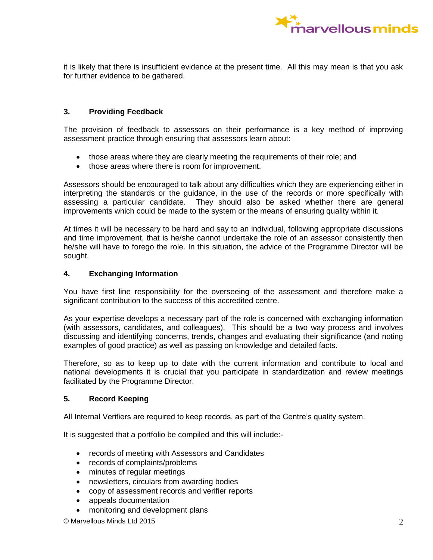

it is likely that there is insufficient evidence at the present time. All this may mean is that you ask for further evidence to be gathered.

#### **3. Providing Feedback**

The provision of feedback to assessors on their performance is a key method of improving assessment practice through ensuring that assessors learn about:

- those areas where they are clearly meeting the requirements of their role; and
- those areas where there is room for improvement.

Assessors should be encouraged to talk about any difficulties which they are experiencing either in interpreting the standards or the guidance, in the use of the records or more specifically with assessing a particular candidate. They should also be asked whether there are general improvements which could be made to the system or the means of ensuring quality within it.

At times it will be necessary to be hard and say to an individual, following appropriate discussions and time improvement, that is he/she cannot undertake the role of an assessor consistently then he/she will have to forego the role. In this situation, the advice of the Programme Director will be sought.

#### **4. Exchanging Information**

You have first line responsibility for the overseeing of the assessment and therefore make a significant contribution to the success of this accredited centre.

As your expertise develops a necessary part of the role is concerned with exchanging information (with assessors, candidates, and colleagues). This should be a two way process and involves discussing and identifying concerns, trends, changes and evaluating their significance (and noting examples of good practice) as well as passing on knowledge and detailed facts.

Therefore, so as to keep up to date with the current information and contribute to local and national developments it is crucial that you participate in standardization and review meetings facilitated by the Programme Director.

#### **5. Record Keeping**

All Internal Verifiers are required to keep records, as part of the Centre's quality system.

It is suggested that a portfolio be compiled and this will include:-

- records of meeting with Assessors and Candidates
- records of complaints/problems
- minutes of regular meetings
- newsletters, circulars from awarding bodies
- copy of assessment records and verifier reports
- appeals documentation
- monitoring and development plans

© Marvellous Minds Ltd 2015 2